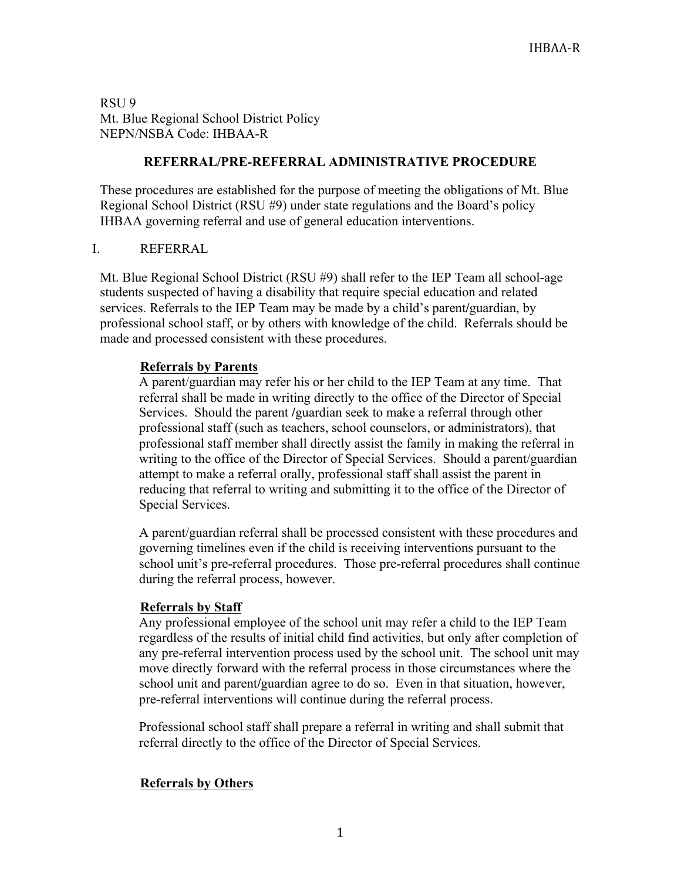RSU 9 Mt. Blue Regional School District Policy NEPN/NSBA Code: IHBAA-R

## **REFERRAL/PRE-REFERRAL ADMINISTRATIVE PROCEDURE**

These procedures are established for the purpose of meeting the obligations of Mt. Blue Regional School District (RSU #9) under state regulations and the Board's policy IHBAA governing referral and use of general education interventions.

### I. REFERRAL

Mt. Blue Regional School District (RSU #9) shall refer to the IEP Team all school-age students suspected of having a disability that require special education and related services. Referrals to the IEP Team may be made by a child's parent**/**guardian, by professional school staff, or by others with knowledge of the child. Referrals should be made and processed consistent with these procedures.

### **Referrals by Parents**

A parent/guardian may refer his or her child to the IEP Team at any time. That referral shall be made in writing directly to the office of the Director of Special Services. Should the parent **/**guardian seek to make a referral through other professional staff (such as teachers, school counselors, or administrators), that professional staff member shall directly assist the family in making the referral in writing to the office of the Director of Special Services. Should a parent/guardian attempt to make a referral orally, professional staff shall assist the parent in reducing that referral to writing and submitting it to the office of the Director of Special Services.

A parent/guardian referral shall be processed consistent with these procedures and governing timelines even if the child is receiving interventions pursuant to the school unit's pre-referral procedures. Those pre-referral procedures shall continue during the referral process, however.

### **Referrals by Staff**

Any professional employee of the school unit may refer a child to the IEP Team regardless of the results of initial child find activities, but only after completion of any pre-referral intervention process used by the school unit. The school unit may move directly forward with the referral process in those circumstances where the school unit and parent**/**guardian agree to do so. Even in that situation, however, pre-referral interventions will continue during the referral process.

Professional school staff shall prepare a referral in writing and shall submit that referral directly to the office of the Director of Special Services.

### **Referrals by Others**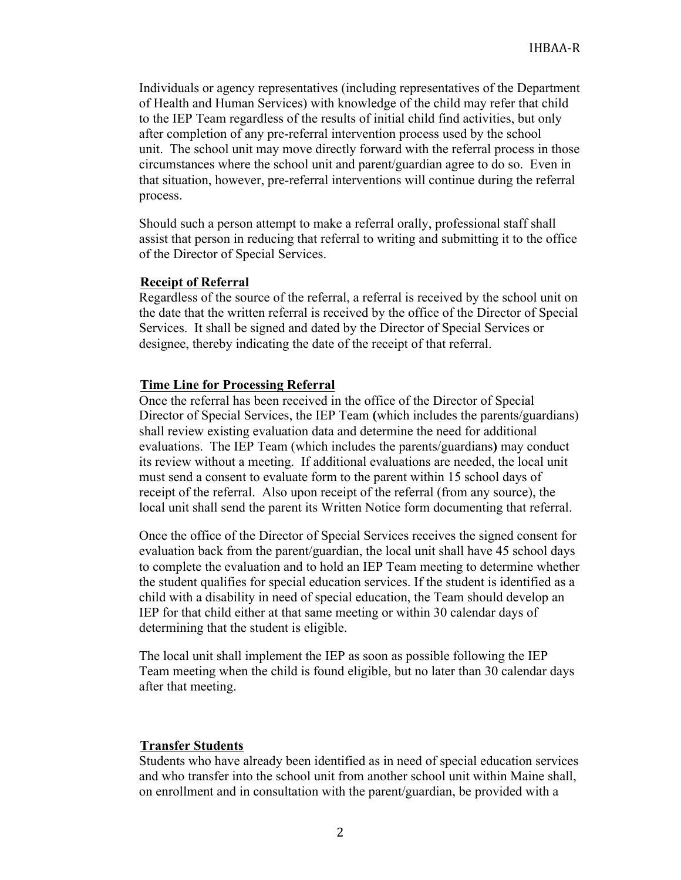Individuals or agency representatives (including representatives of the Department of Health and Human Services) with knowledge of the child may refer that child to the IEP Team regardless of the results of initial child find activities, but only after completion of any pre-referral intervention process used by the school unit. The school unit may move directly forward with the referral process in those circumstances where the school unit and parent/guardian agree to do so. Even in that situation, however, pre-referral interventions will continue during the referral process.

Should such a person attempt to make a referral orally, professional staff shall assist that person in reducing that referral to writing and submitting it to the office of the Director of Special Services.

#### **Receipt of Referral**

Regardless of the source of the referral, a referral is received by the school unit on the date that the written referral is received by the office of the Director of Special Services. It shall be signed and dated by the Director of Special Services or designee, thereby indicating the date of the receipt of that referral.

#### **Time Line for Processing Referral**

Once the referral has been received in the office of the Director of Special Director of Special Services, the IEP Team **(**which includes the parents/guardians) shall review existing evaluation data and determine the need for additional evaluations. The IEP Team (which includes the parents/guardians**)** may conduct its review without a meeting. If additional evaluations are needed, the local unit must send a consent to evaluate form to the parent within 15 school days of receipt of the referral. Also upon receipt of the referral (from any source), the local unit shall send the parent its Written Notice form documenting that referral.

Once the office of the Director of Special Services receives the signed consent for evaluation back from the parent/guardian, the local unit shall have 45 school days to complete the evaluation and to hold an IEP Team meeting to determine whether the student qualifies for special education services. If the student is identified as a child with a disability in need of special education, the Team should develop an IEP for that child either at that same meeting or within 30 calendar days of determining that the student is eligible.

The local unit shall implement the IEP as soon as possible following the IEP Team meeting when the child is found eligible, but no later than 30 calendar days after that meeting.

#### **Transfer Students**

Students who have already been identified as in need of special education services and who transfer into the school unit from another school unit within Maine shall, on enrollment and in consultation with the parent/guardian, be provided with a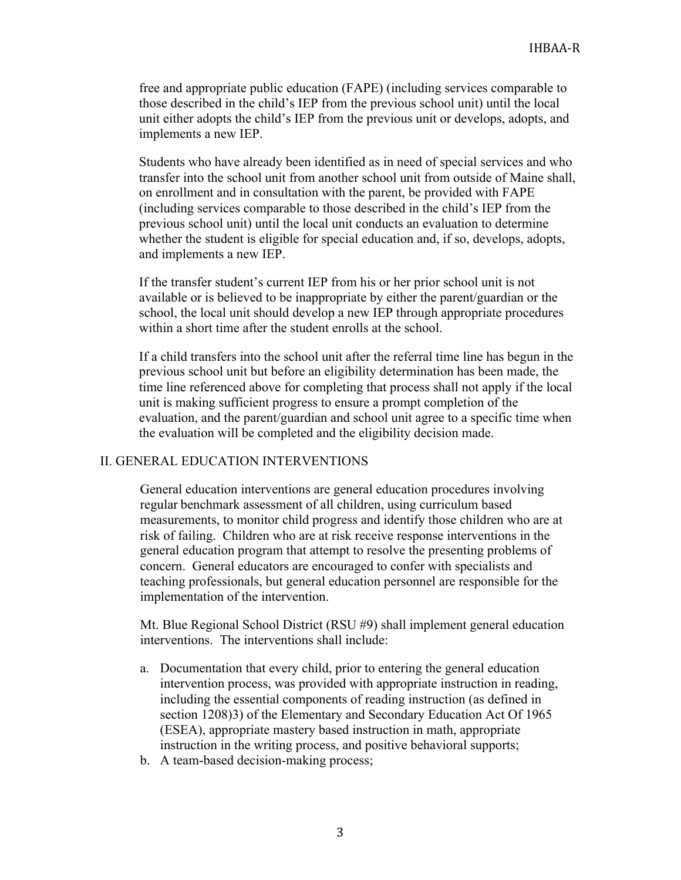free and appropriate public education (FAPE) (including services comparable to those described in the child's IEP from the previous school unit) until the local unit either adopts the child's IEP from the previous unit or develops, adopts, and implements a new IEP.

Students who have already been identified as in need of special services and who transfer into the school unit from another school unit from outside of Maine shall, on enrollment and in consultation with the parent, be provided with FAPE (including services comparable to those described in the child's IEP from the previous school unit) until the local unit conducts an evaluation to determine whether the student is eligible for special education and, if so, develops, adopts, and implements a new IEP.

If the transfer student's current IEP from his or her prior school unit is not available or is believed to be inappropriate by either the parent/guardian or the school, the local unit should develop a new IEP through appropriate procedures within a short time after the student enrolls at the school.

If a child transfers into the school unit after the referral time line has begun in the previous school unit but before an eligibility determination has been made, the time line referenced above for completing that process shall not apply if the local unit is making sufficient progress to ensure a prompt completion of the evaluation, and the parent/guardian and school unit agree to a specific time when the evaluation will be completed and the eligibility decision made.

# II. GENERAL EDUCATION INTERVENTIONS

General education interventions are general education procedures involving regular benchmark assessment of all children, using curriculum based measurements, to monitor child progress and identify those children who are at risk of failing. Children who are at risk receive response interventions in the general education program that attempt to resolve the presenting problems of concern. General educators are encouraged to confer with specialists and teaching professionals, but general education personnel are responsible for the implementation of the intervention.

Mt. Blue Regional School District (RSU #9) shall implement general education interventions. The interventions shall include:

- a. Documentation that every child, prior to entering the general education intervention process, was provided with appropriate instruction in reading, including the essential components of reading instruction (as defined in section 1208)3) of the Elementary and Secondary Education Act Of 1965 (ESEA), appropriate mastery based instruction in math, appropriate instruction in the writing process, and positive behavioral supports;
- b. A team-based decision-making process;